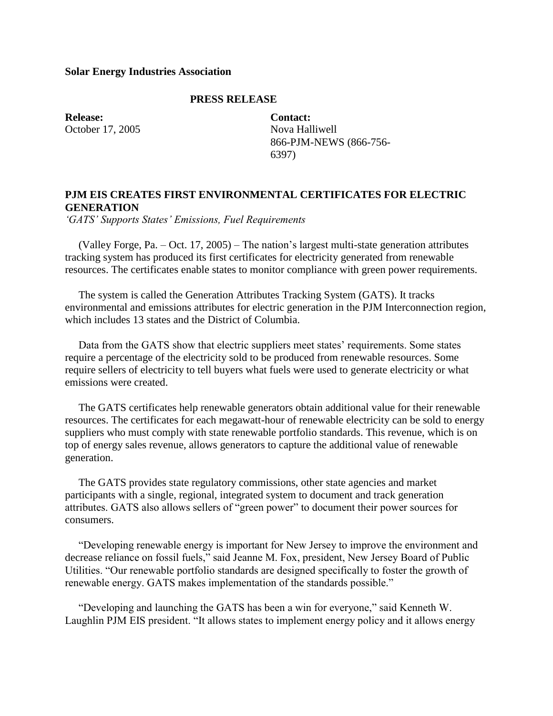## **Solar Energy Industries Association**

## **PRESS RELEASE**

**Release:** October 17, 2005 **Contact:** Nova Halliwell 866-PJM-NEWS (866-756- 6397)

## **PJM EIS CREATES FIRST ENVIRONMENTAL CERTIFICATES FOR ELECTRIC GENERATION**

*'GATS' Supports States' Emissions, Fuel Requirements*

 (Valley Forge, Pa. – Oct. 17, 2005) – The nation's largest multi-state generation attributes tracking system has produced its first certificates for electricity generated from renewable resources. The certificates enable states to monitor compliance with green power requirements.

 The system is called the Generation Attributes Tracking System (GATS). It tracks environmental and emissions attributes for electric generation in the PJM Interconnection region, which includes 13 states and the District of Columbia.

 Data from the GATS show that electric suppliers meet states' requirements. Some states require a percentage of the electricity sold to be produced from renewable resources. Some require sellers of electricity to tell buyers what fuels were used to generate electricity or what emissions were created.

 The GATS certificates help renewable generators obtain additional value for their renewable resources. The certificates for each megawatt-hour of renewable electricity can be sold to energy suppliers who must comply with state renewable portfolio standards. This revenue, which is on top of energy sales revenue, allows generators to capture the additional value of renewable generation.

 The GATS provides state regulatory commissions, other state agencies and market participants with a single, regional, integrated system to document and track generation attributes. GATS also allows sellers of "green power" to document their power sources for consumers.

 "Developing renewable energy is important for New Jersey to improve the environment and decrease reliance on fossil fuels," said Jeanne M. Fox, president, New Jersey Board of Public Utilities. "Our renewable portfolio standards are designed specifically to foster the growth of renewable energy. GATS makes implementation of the standards possible."

 "Developing and launching the GATS has been a win for everyone," said Kenneth W. Laughlin PJM EIS president. "It allows states to implement energy policy and it allows energy